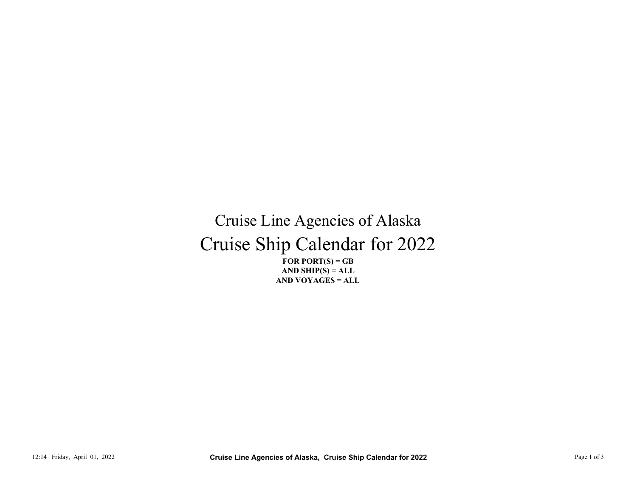## Cruise Ship Calendar for 2022 Cruise Line Agencies of Alaska 12:14 Friday, April 01, 2022<br>
12:14 Friday, April 01, 2022<br>
Page 1 of 3 SHIP(S) = ALL<br>
2021<br>
21:24 Friday, April 01, 2022<br>
21:24 Friday, April 01, 2022<br>
21:24 Friday, April 01, 2022<br>
21:24 Friday, April 01, 2022<br>
21:34 Fr

FOR PORT $(S) = GB$ AND VOYAGES = ALL AND SHIP $(S) = ALL$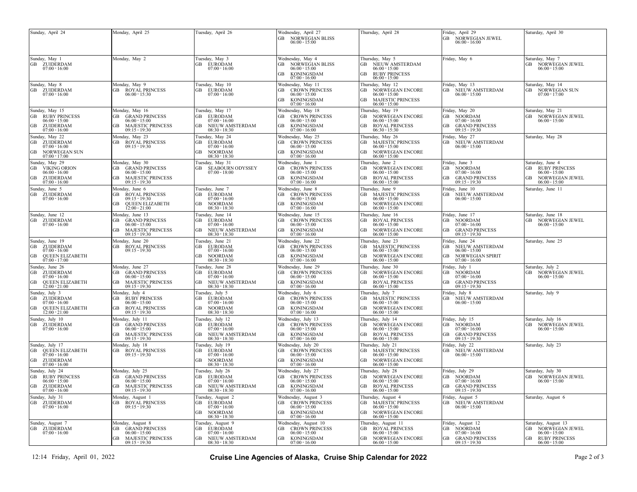| Sunday, April 24                                                                                         | Monday, April 25                                                                                                        | Tuesday, April 26                                                                                             | Wednesday, April 27<br><b>GB NORWEGIAN BLISS</b><br>$06:00 - 15:00$                                                       | Thursday, April 28                                                                                                  | Friday, April 29<br>GВ<br>NORWEGIAN JEWEL<br>$06:00 - 16:00$                                                 | Saturday, April 30                                                                                         |
|----------------------------------------------------------------------------------------------------------|-------------------------------------------------------------------------------------------------------------------------|---------------------------------------------------------------------------------------------------------------|---------------------------------------------------------------------------------------------------------------------------|---------------------------------------------------------------------------------------------------------------------|--------------------------------------------------------------------------------------------------------------|------------------------------------------------------------------------------------------------------------|
| Sunday, May 1<br>GB ZUIDERDAM<br>$07:00 - 16:00$                                                         | Monday, May 2                                                                                                           | Tuesday, May 3<br>GB EURODAM<br>$07:00 - 16:00$                                                               | Wednesday, May 4<br><b>GB</b><br><b>NORWEGIAN BLISS</b><br>$06:00 - 15:00$<br><b>KONINGSDAM</b><br>GB<br>$07:00 - 16:00$  | Thursday, May 5<br>GB NIEUW AMSTERDAM<br>$06:00 - 15:00$<br><b>RUBY PRINCESS</b><br>GB<br>$06:00 - 15:00$           | Friday, May 6                                                                                                | Saturday, May 7<br>GB<br>NORWEGIAN JEWEL<br>$06:00 - 15:00$                                                |
| Sunday, May 8<br>GB ZUIDERDAM<br>$07:00 - 16:00$                                                         | Monday, May 9<br><b>GB ROYAL PRINCESS</b><br>$06:00 - 15:30$                                                            | Tuesday, May 10<br>GB EURODAM<br>$07:00 - 16:00$                                                              | Wednesday, May 11<br><b>GB CROWN PRINCESS</b><br>$06:00 - 15:00$<br>GB<br><b>KONINGSDAM</b><br>07:00 - 16:00              | Thursday, May 12<br>GB NORWEGIAN ENCORE<br>$06:00 - 15:00$<br><b>MAJESTIC PRINCESS</b><br>GB<br>$06:00 - 15:00$     | Friday, May 13<br><b>GB</b> NIEUW AMSTERDAM<br>$06:00 - 15:00$                                               | Saturday, May 14<br>NORWEGIAN SUN<br>GB<br>$07:00 - 17:00$                                                 |
| Sunday, May 15<br>GB<br><b>RUBY PRINCESS</b><br>$06:00 - 15:00$<br>ZUIDERDAM<br>GB<br>$07:00 - 16:00$    | Monday, May 16<br><b>GB</b> GRAND PRINCESS<br>$06:00 - 15:00$<br><b>MAJESTIC PRINCESS</b><br>GВ<br>$09:15 - 19:30$      | Tuesday, May 17<br>EURODAM<br>GB<br>$07:00 - 16:00$<br>NIEUW AMSTERDAM<br>GB<br>$08:30 - 18:30$               | Wednesday, May 18<br><b>GB</b><br><b>CROWN PRINCESS</b><br>$06:00 - 15:00$<br>KONINGSDAM<br>GB<br>$07:00 - 16:00$         | Thursday, May 19<br><b>GB NORWEGIAN ENCORE</b><br>$06:00 - 15:00$<br><b>ROYAL PRINCESS</b><br>GB<br>$06:30 - 15:30$ | Friday, May 20<br>GB NOORDAM<br>$07:00 - 16:00$<br>GB GRAND PRINCESS<br>$09:15 - 19:30$                      | Saturday, May 21<br>GB NORWEGIAN JEWEL<br>$06:00 - 15:00$                                                  |
| Sunday, May 22<br>ZUIDERDAM<br>GB<br>$07:00 - 16:00$<br>NORWEGIAN SUN<br>GB<br>$07:00 - 17:00$           | Monday, May 23<br>GB<br><b>ROYAL PRINCESS</b><br>$09:15 - 19:30$                                                        | Tuesday, May 24<br>GB EURODAM<br>$07:00 - 16:00$<br>NOORDAM<br>GB<br>$08:30 - 18:30$                          | Wednesday, May 25<br><b>GB CROWN PRINCESS</b><br>$06:00 - 15:00$<br>KONINGSDAM<br>GB<br>$07:00 - 16:00$                   | Thursday, May 26<br>GB MAJESTIC PRINCESS<br>$06:00 - 15:00$<br>NORWEGIAN ENCORE<br>GB.<br>$06:00 - 15:00$           | Friday, May 27<br>GB NIEUW AMSTERDAM<br>$06:00 - 15:00$                                                      | Saturday, May 28                                                                                           |
| Sunday, May 29<br>GB<br>VIKING ORION<br>$06:00 - 16:00$<br>ZUIDERDAM<br>GB<br>$07:00 - 16:00$            | Monday, May 30<br>GB<br><b>GRAND PRINCESS</b><br>$06:00 - 15:00$<br><b>MAJESTIC PRINCESS</b><br>GB<br>$09:15 - 19:30$   | Tuesday, May 31<br>SEABOURN ODYSSEY<br>GB<br>$07:00 - 18:00$                                                  | Wednesday, June 1<br><b>GB CROWN PRINCESS</b><br>$06:00 - 15:00$<br><b>KONINGSDAM</b><br>GB.<br>$07:00 - 16:00$           | Thursday, June 2<br><b>GB</b> NORWEGIAN ENCORE<br>$06:00 - 15:00$<br><b>ROYAL PRINCESS</b><br>$06:00 - 15:00$       | Friday, June 3<br>GB<br><b>NOORDAM</b><br>$07:00 - 16:00$<br><b>GRAND PRINCESS</b><br>GВ<br>$09:15 - 19:30$  | Saturday, June 4<br><b>GB RUBY PRINCESS</b><br>$06:00 - 15:00$<br>NORWEGIAN JEWEL<br>GB<br>$06:00 - 15:00$ |
| Sunday, June 5<br>GB<br>ZUIDERDAM<br>$07:00 - 16:00$                                                     | Monday, June 6<br>GB<br><b>ROYAL PRINCESS</b><br>$09:15 - 19:30$<br><b>QUEEN ELIZABETH</b><br>GВ<br>$12:00 - 21:00$     | Tuesday, June 7<br><b>EURODAM</b><br>GB<br>$07:00 - 16:00$<br><b>NOORDAM</b><br>GB<br>$08:30 - 18:30$         | Wednesday, June 8<br>GB<br><b>CROWN PRINCESS</b><br>$06:00 - 15:00$<br><b>KONINGSDAM</b><br>GB<br>$07:00 - 16:00$         | Thursday, June 9<br><b>GB MAJESTIC PRINCESS</b><br>$06:00 - 15:00$<br>NORWEGIAN ENCORE<br>GB.<br>$06:00 - 15:00$    | riday, June 10<br><b>GB</b> NIEUW AMSTERDAM<br>$06:00 - 15:00$                                               | Saturday, June 11                                                                                          |
| Sunday, June 12<br>GB ZUIDERDAM<br>$07:00 - 16:00$                                                       | Monday, June 13<br>GB<br><b>GRAND PRINCESS</b><br>$06:00 - 15:00$<br>GВ<br><b>MAJESTIC PRINCESS</b><br>$09:15 - 19:30$  | Tuesday, June 14<br>EURODAM<br>GB<br>07:00 - 16:00<br>NIEUW AMSTERDAM<br>GB<br>$08:30 - 18:30$                | Wednesday, June 15<br><b>CROWN PRINCESS</b><br>GB<br>$06:00 - 15:00$<br><b>GB</b><br>KONINGSDAM<br>07:00 - 16:00          | Fhursday, June 16<br><b>GB ROYAL PRINCESS</b><br>$06:00 - 15:00$<br>NORWEGIAN ENCORE<br>GB<br>$06:00 - 15:00$       | Friday, June 17<br><b>NOORDAM</b><br>GВ<br>$07:00 - 16:00$<br>GВ<br><b>GRAND PRINCESS</b><br>$09:15 - 19:30$ | Saturday, June 18<br><b>NORWEGIAN JEWEL</b><br>GB<br>$06:00 - 15:00$                                       |
| Sunday, June 19<br>GB ZUIDERDAM<br>$07:00 - 16:00$<br><b>OUEEN ELIZABETH</b><br>GB<br>$07:00 - 17:00$    | Monday, June 20<br><b>GB ROYAL PRINCESS</b><br>$09:15 - 19:30$                                                          | Tuesday, June 21<br>EURODAM<br>GB<br>07:00 - 16:00<br><b>NOORDAM</b><br>GB.<br>$08:30 - 18:30$                | Wednesday, June 22<br><b>GB CROWN PRINCESS</b><br>$06:00 - 15:00$<br><b>KONINGSDAM</b><br>GB<br>07:00 - 16:00             | Thursday, June 23<br><b>GB MAJESTIC PRINCESS</b><br>$06:00 - 15:00$<br>NORWEGIAN ENCORE<br>GB<br>$06:00 - 15:00$    | Friday, June 24<br>GB NIEUW AMSTERDAM<br>$06:00 - 15:00$<br>NORWEGIAN SPIRIT<br>GВ<br>$07:00 - 16:00$        | Saturday, June 25                                                                                          |
| Sunday, June 26<br>ZUIDERDAM<br>GB<br>$07:00 - 16:00$<br><b>QUEEN ELIZABETH</b><br>GB<br>$12:00 - 21:00$ | Monday, June 27<br>GB<br><b>GRAND PRINCESS</b><br>$06:00 - 15:00$<br>MAJESTIC PRINCESS<br>GВ<br>$09:15 - 19:30$         | Tuesday, June 28<br>GB EURODAM<br>$07:00 - 16:00$<br>NIEUW AMSTERDAM<br>GB<br>$08:30 - 18:30$                 | Wednesday, June 29<br><b>GB CROWN PRINCESS</b><br>$06:00 - 15:00$<br>GB KONINGSDAM<br>$07:00 - 16:00$                     | Thursday, June 30<br>GB NORWEGIAN ENCORE<br>$06:00 - 15:00$<br>GB ROYAL PRINCESS<br>$06:00 - 15:00$                 | Friday, July 1<br>GB<br>NOORDAM<br>$07:00 - 16:00$<br>GB GRAND PRINCESS<br>$09:15 - 19:30$                   | Saturday, July 2<br>GB NORWEGIAN JEWEL<br>$06:00 - 15:00$                                                  |
| Sunday, July 3<br>GB<br>ZUIDERDAM<br>$07:00 - 16:00$<br><b>QUEEN ELIZABETH</b><br>GB<br>$12:00 - 21:00$  | Monday, July 4<br>GB<br><b>RUBY PRINCESS</b><br>$06:00 - 15:00$<br><b>ROYAL PRINCESS</b><br>GВ<br>$09:15 - 19:30$       | Tuesday, July 5<br><b>EURODAM</b><br>GB<br>07:00 - 16:00<br><b>NOORDAM</b><br>GB.<br>$08:30 - 18:30$          | Wednesday, July 6<br><b>GB</b><br><b>CROWN PRINCESS</b><br>$06:00 - 15:00$<br>KONINGSDAM<br>GB<br>$07:00 - 16:00$         | Thursday, July 7<br><b>GB</b> MAJESTIC PRINCESS<br>$06:00 - 15:00$<br>GB NORWEGIAN ENCORE<br>$06:00 - 15:00$        | Friday, July 8<br><b>GB</b> NIEUW AMSTERDAM<br>$06:00 - 15:00$                                               | Saturday, July 9                                                                                           |
| Sunday, July 10<br>GB<br>ZUIDERDAM<br>$07:00 - 16:00$                                                    | Monday, July 11<br>GB<br><b>GRAND PRINCESS</b><br>$06:00 - 15:00$<br><b>MAJESTIC PRINCESS</b><br>GB<br>$09:15 - 19:30$  | Tuesday, July 12<br>EURODAM<br>GB<br>$07:00 - 16:00$<br>NIEUW AMSTERDAM<br>GB<br>$08:30 - 18:30$              | Wednesday, July 13<br><b>GB</b><br><b>CROWN PRINCESS</b><br>$06:00 - 15:00$<br><b>KONINGSDAM</b><br>GB<br>$07:00 - 16:00$ | Fhursday, July 14<br>GB<br>NORWEGIAN ENCORE<br>$06:00 - 15:00$<br><b>ROYAL PRINCESS</b><br>$06:00 - 15:00$          | Friday, July 15<br><b>NOORDAM</b><br>GВ<br>$07:00 - 16:00$<br>GB GRAND PRINCESS<br>$09:15 - 19:30$           | Saturday, July 16<br>GB<br>NORWEGIAN JEWEL<br>$06:00 - 15:00$                                              |
| Sunday, July 17<br>GB<br><b>QUEEN ELIZABETH</b><br>$07:00 - 16:00$<br>GB<br>ZUIDERDAM<br>$07:00 - 16:00$ | Monday, July 18<br><b>GB ROYAL PRINCESS</b><br>$09:15 - 19:30$                                                          | Tuesday, July 19<br><b>EURODAM</b><br>GB<br>$07:00 - 16:00$<br><b>NOORDAM</b><br><b>GB</b><br>$08:30 - 18:30$ | Wednesday, July 20<br><b>GB CROWN PRINCESS</b><br>$06:00 - 15:00$<br>GB<br><b>KONINGSDAM</b><br>$07:00 - 16:00$           | Thursday, July 21<br><b>GB</b> MAJESTIC PRINCESS<br>$06:00 - 15:00$<br>NORWEGIAN ENCORE<br>GB<br>$06:00 - 15:00$    | Friday, July 22<br><b>GB</b> NIEUW AMSTERDAM<br>$06:00 - 15:00$                                              | Saturday, July 23                                                                                          |
| Sunday, July 24<br><b>RUBY PRINCESS</b><br>GB<br>$06:00 - 15:00$<br>GB ZUIDERDAM<br>$07:00 - 16:00$      | Monday, July 25<br><b>GB GRAND PRINCESS</b><br>$06:00 - 15:00$<br><b>GB MAJESTIC PRINCESS</b><br>$09:15 - 19:30$        | Tuesday, July 26<br>EURODAM<br>GB<br>$07:00 - 16:00$<br>GB NIEUW AMSTERDAM<br>$08:30 - 18:30$                 | Wednesday, July 27<br><b>GB CROWN PRINCESS</b><br>$06:00 - 15:00$<br>GB KONINGSDAM<br>$07:00 - 16:00$                     | Fhursday, July 28<br><b>GB NORWEGIAN ENCORE</b><br>$06:00 - 15:00$<br><b>GB ROYAL PRINCESS</b><br>$06:00 - 15:00$   | Friday, July 29<br><b>NOORDAM</b><br>GВ<br>$07:00 - 16:00$<br><b>GB</b> GRAND PRINCESS<br>$09:15 - 19:30$    | Saturday, July 30<br>GB NORWEGIAN JEWEL<br>$06:00 - 15:00$                                                 |
| Sunday, July 31<br>$\begin{tabular}{ll} \bf GB & \tt ZUIDERDAM \\ \bf 07:00-16:00 \end{tabular}$         | Monday, August 1<br>GВ<br><b>ROYAL PRINCESS</b><br>$09:15 - 19:30$                                                      | Tuesday, August 2<br>GB EURODAM<br>$07:00 - 16:00$<br><b>NOORDAM</b><br>GB<br>$08:30 - 18:30$                 | Wednesday, August 3<br><b>GB CROWN PRINCESS</b><br>$06:00 - 15:00$<br>KONINGSDAM<br>GB<br>$07:00 - 16:00$                 | Fhursday, August 4<br><b>GB MAJESTIC PRINCESS</b><br>$06:00 - 15:00$<br>NORWEGIAN ENCORE<br>GB<br>$06:00 - 15:00$   | Friday, August 5<br>GB NIEUW AMSTERDAM<br>$06:00 - 15:00$                                                    | Saturday, August 6                                                                                         |
| Sunday, August 7<br>GB ZUIDERDAM<br>$07:00 - 16:00$                                                      | Monday, August 8<br><b>GRAND PRINCESS</b><br>GB<br>$06:00 - 15:00$<br><b>MAJESTIC PRINCESS</b><br>GВ<br>$09:15 - 19:30$ | Tuesday, August 9<br>EURODAM<br>GB<br>$07:00 - 16:00$<br>NIEUW AMSTERDAM<br>GB<br>$08:30 - 18:30$             | Wednesday, August 10<br><b>GB CROWN PRINCESS</b><br>$06:00 - 15:00$<br>GB KONINGSDAM<br>$07:00 - 16:00$                   | Fhursday, August 11<br><b>GB ROYAL PRINCESS</b><br>$06:00 - 15:00$<br>NORWEGIAN ENCORE<br>GB<br>$06:00 - 15:00$     | Friday, August 12<br><b>NOORDAM</b><br>GB<br>$07:00 - 16:00$<br>GB GRAND PRINCESS<br>$09:15 - 19:30$         | Saturday, August 13<br>GB NORWEGIAN JEWEL<br>$06:00 - 15:00$<br><b>GB RUBY PRINCESS</b><br>$06:00 - 15:00$ |
| 12:14 Friday, April 01, 2022                                                                             |                                                                                                                         | Cruise Line Agencies of Alaska, Cruise Ship Calendar for 2022                                                 |                                                                                                                           | Page 2 of 3                                                                                                         |                                                                                                              |                                                                                                            |